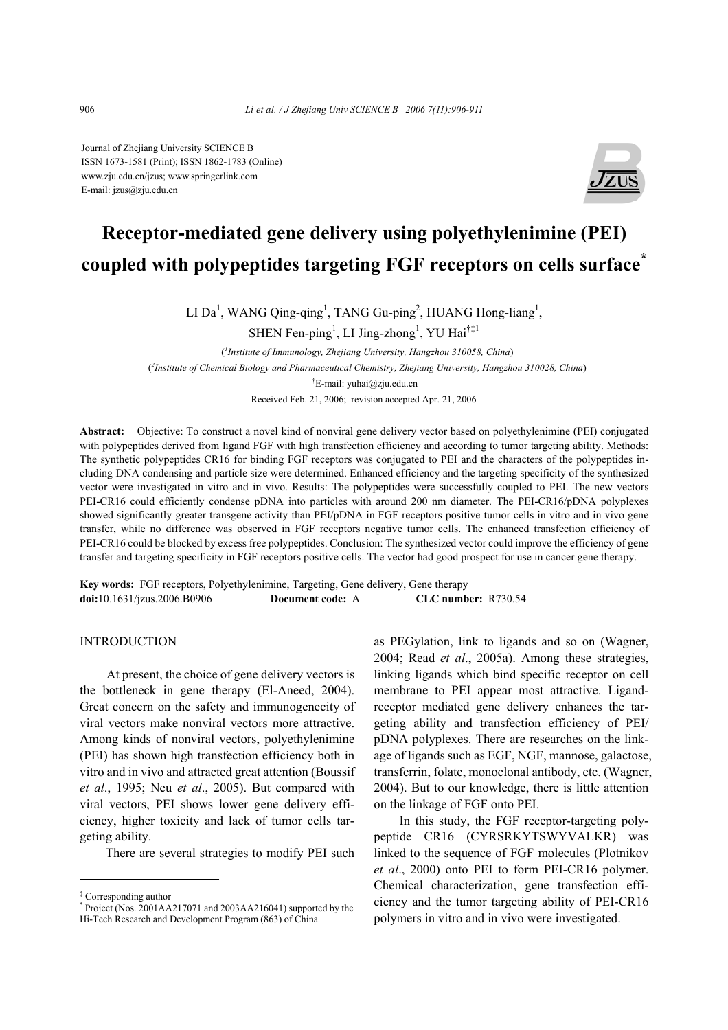Journal of Zhejiang University SCIENCE B ISSN 1673-1581 (Print); ISSN 1862-1783 (Online) www.zju.edu.cn/jzus; www.springerlink.com E-mail: jzus@zju.edu.cn



# **Receptor-mediated gene delivery using polyethylenimine (PEI) coupled with polypeptides targeting FGF receptors on cells surface\***

LI Da<sup>1</sup>, WANG Qing-qing<sup>1</sup>, TANG Gu-ping<sup>2</sup>, HUANG Hong-liang<sup>1</sup>,

SHEN Fen-ping<sup>1</sup>, LI Jing-zhong<sup>1</sup>, YU Hai<sup>†‡1</sup>

( *1 Institute of Immunology, Zhejiang University, Hangzhou 310058, China*) ( *2 Institute of Chemical Biology and Pharmaceutical Chemistry, Zhejiang University, Hangzhou 310028, China*) † E-mail: yuhai@zju.edu.cn Received Feb. 21, 2006; revision accepted Apr. 21, 2006

**Abstract:** Objective: To construct a novel kind of nonviral gene delivery vector based on polyethylenimine (PEI) conjugated with polypeptides derived from ligand FGF with high transfection efficiency and according to tumor targeting ability. Methods: The synthetic polypeptides CR16 for binding FGF receptors was conjugated to PEI and the characters of the polypeptides including DNA condensing and particle size were determined. Enhanced efficiency and the targeting specificity of the synthesized vector were investigated in vitro and in vivo. Results: The polypeptides were successfully coupled to PEI. The new vectors PEI-CR16 could efficiently condense pDNA into particles with around 200 nm diameter. The PEI-CR16/pDNA polyplexes showed significantly greater transgene activity than PEI/pDNA in FGF receptors positive tumor cells in vitro and in vivo gene transfer, while no difference was observed in FGF receptors negative tumor cells. The enhanced transfection efficiency of PEI-CR16 could be blocked by excess free polypeptides. Conclusion: The synthesized vector could improve the efficiency of gene transfer and targeting specificity in FGF receptors positive cells. The vector had good prospect for use in cancer gene therapy.

**Key words:** FGF receptors, Polyethylenimine, Targeting, Gene delivery, Gene therapy **doi:**10.1631/jzus.2006.B0906 **Document code:** A **CLC number:** R730.54

# **INTRODUCTION**

At present, the choice of gene delivery vectors is the bottleneck in gene therapy (El-Aneed, 2004). Great concern on the safety and immunogenecity of viral vectors make nonviral vectors more attractive. Among kinds of nonviral vectors, polyethylenimine (PEI) has shown high transfection efficiency both in vitro and in vivo and attracted great attention (Boussif *et al*., 1995; Neu *et al*., 2005). But compared with viral vectors, PEI shows lower gene delivery efficiency, higher toxicity and lack of tumor cells targeting ability.

There are several strategies to modify PEI such

as PEGylation, link to ligands and so on (Wagner, 2004; Read *et al*., 2005a). Among these strategies, linking ligands which bind specific receptor on cell membrane to PEI appear most attractive. Ligandreceptor mediated gene delivery enhances the targeting ability and transfection efficiency of PEI/ pDNA polyplexes. There are researches on the linkage of ligands such as EGF, NGF, mannose, galactose, transferrin, folate, monoclonal antibody, etc. (Wagner, 2004). But to our knowledge, there is little attention on the linkage of FGF onto PEI.

In this study, the FGF receptor-targeting polypeptide CR16 (CYRSRKYTSWYVALKR) was linked to the sequence of FGF molecules (Plotnikov *et al*., 2000) onto PEI to form PEI-CR16 polymer. Chemical characterization, gene transfection efficiency and the tumor targeting ability of PEI-CR16 polymers in vitro and in vivo were investigated.

<sup>‡</sup> Corresponding author

<sup>\*</sup> Project (Nos. 2001AA217071 and 2003AA216041) supported by the Hi-Tech Research and Development Program (863) of China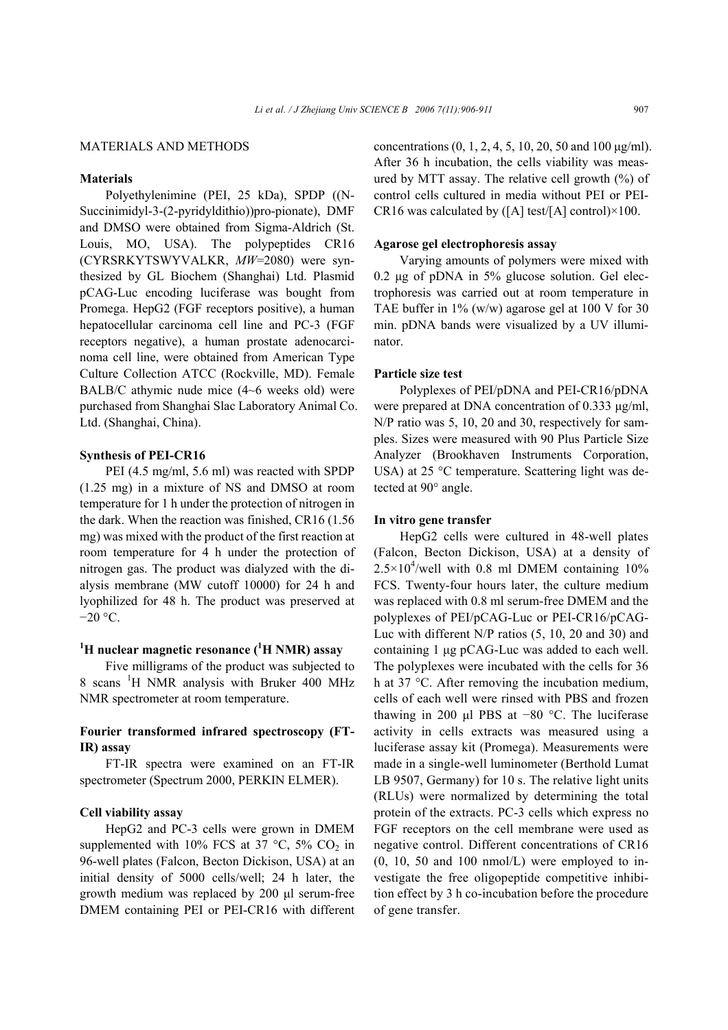# MATERIALS AND METHODS

# **Materials**

Polyethylenimine (PEI, 25 kDa), SPDP ((N-Succinimidyl-3-(2-pyridyldithio))pro-pionate), DMF and DMSO were obtained from Sigma-Aldrich (St. Louis, MO, USA). The polypeptides CR16 (CYRSRKYTSWYVALKR, *MW*=2080) were synthesized by GL Biochem (Shanghai) Ltd. Plasmid pCAG-Luc encoding luciferase was bought from Promega. HepG2 (FGF receptors positive), a human hepatocellular carcinoma cell line and PC-3 (FGF receptors negative), a human prostate adenocarcinoma cell line, were obtained from American Type Culture Collection ATCC (Rockville, MD). Female BALB/C athymic nude mice (4~6 weeks old) were purchased from Shanghai Slac Laboratory Animal Co. Ltd. (Shanghai, China).

## **Synthesis of PEI-CR16**

PEI (4.5 mg/ml, 5.6 ml) was reacted with SPDP (1.25 mg) in a mixture of NS and DMSO at room temperature for 1 h under the protection of nitrogen in the dark. When the reaction was finished, CR16 (1.56 mg) was mixed with the product of the first reaction at room temperature for 4 h under the protection of nitrogen gas. The product was dialyzed with the dialysis membrane (MW cutoff 10000) for 24 h and lyophilized for 48 h. The product was preserved at −20 °C.

# <sup>1</sup>H nuclear magnetic resonance (<sup>1</sup>H NMR) assay

Five milligrams of the product was subjected to 8 scans <sup>1</sup>H NMR analysis with Bruker 400 MHz NMR spectrometer at room temperature.

# **Fourier transformed infrared spectroscopy (FT-IR) assay**

FT-IR spectra were examined on an FT-IR spectrometer (Spectrum 2000, PERKIN ELMER).

#### **Cell viability assay**

HepG2 and PC-3 cells were grown in DMEM supplemented with 10% FCS at 37  $\degree$ C, 5% CO<sub>2</sub> in 96-well plates (Falcon, Becton Dickison, USA) at an initial density of 5000 cells/well; 24 h later, the growth medium was replaced by 200 µl serum-free DMEM containing PEI or PEI-CR16 with different concentrations (0, 1, 2, 4, 5, 10, 20, 50 and 100 µg/ml). After 36 h incubation, the cells viability was measured by MTT assay. The relative cell growth  $(\%)$  of control cells cultured in media without PEI or PEI-CR16 was calculated by  $([A] \text{ test}/[A] \text{ control}) \times 100$ .

## **Agarose gel electrophoresis assay**

Varying amounts of polymers were mixed with 0.2 µg of pDNA in 5% glucose solution. Gel electrophoresis was carried out at room temperature in TAE buffer in 1% (w/w) agarose gel at 100 V for 30 min. pDNA bands were visualized by a UV illuminator.

# **Particle size test**

Polyplexes of PEI/pDNA and PEI-CR16/pDNA were prepared at DNA concentration of 0.333 µg/ml, N/P ratio was 5, 10, 20 and 30, respectively for samples. Sizes were measured with 90 Plus Particle Size Analyzer (Brookhaven Instruments Corporation, USA) at 25 °C temperature. Scattering light was detected at 90° angle.

## **In vitro gene transfer**

HepG2 cells were cultured in 48-well plates (Falcon, Becton Dickison, USA) at a density of  $2.5 \times 10^4$ /well with 0.8 ml DMEM containing 10% FCS. Twenty-four hours later, the culture medium was replaced with 0.8 ml serum-free DMEM and the polyplexes of PEI/pCAG-Luc or PEI-CR16/pCAG-Luc with different N/P ratios (5, 10, 20 and 30) and containing 1 µg pCAG-Luc was added to each well. The polyplexes were incubated with the cells for 36 h at 37 °C. After removing the incubation medium, cells of each well were rinsed with PBS and frozen thawing in 200 µl PBS at −80 °C. The luciferase activity in cells extracts was measured using a luciferase assay kit (Promega). Measurements were made in a single-well luminometer (Berthold Lumat LB 9507, Germany) for 10 s. The relative light units (RLUs) were normalized by determining the total protein of the extracts. PC-3 cells which express no FGF receptors on the cell membrane were used as negative control. Different concentrations of CR16  $(0, 10, 50,$  and  $100 \text{ nmol/L})$  were employed to investigate the free oligopeptide competitive inhibition effect by 3 h co-incubation before the procedure of gene transfer.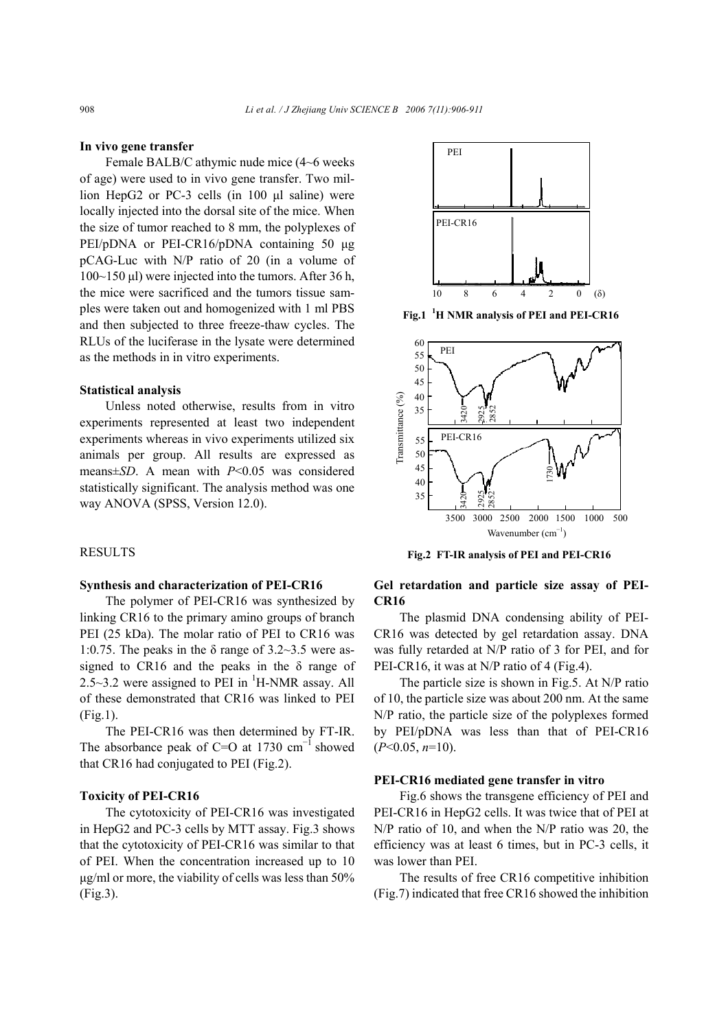#### **In vivo gene transfer**

Female BALB/C athymic nude mice (4~6 weeks of age) were used to in vivo gene transfer. Two million HepG<sub>2</sub> or PC-3 cells (in 100 µl saline) were locally injected into the dorsal site of the mice. When the size of tumor reached to 8 mm, the polyplexes of PEI/pDNA or PEI-CR16/pDNA containing 50 µg pCAG-Luc with N/P ratio of 20 (in a volume of 100~150 µl) were injected into the tumors. After 36 h, the mice were sacrificed and the tumors tissue samples were taken out and homogenized with 1 ml PBS and then subjected to three freeze-thaw cycles. The RLUs of the luciferase in the lysate were determined as the methods in in vitro experiments.

#### **Statistical analysis**

Unless noted otherwise, results from in vitro experiments represented at least two independent experiments whereas in vivo experiments utilized six animals per group. All results are expressed as means±*SD*. A mean with *P*<0.05 was considered statistically significant. The analysis method was one way ANOVA (SPSS, Version 12.0).

#### RESULTS

# **Synthesis and characterization of PEI-CR16**

The polymer of PEI-CR16 was synthesized by linking CR16 to the primary amino groups of branch PEI (25 kDa). The molar ratio of PEI to CR16 was 1:0.75. The peaks in the  $\delta$  range of 3.2~3.5 were assigned to CR16 and the peaks in the  $\delta$  range of 2.5~3.2 were assigned to PEI in  ${}^{1}$ H-NMR assay. All of these demonstrated that CR16 was linked to PEI (Fig.1).

The PEI-CR16 was then determined by FT-IR. The absorbance peak of C=O at 1730  $cm^{-1}$  showed that CR16 had conjugated to PEI (Fig.2).

# **Toxicity of PEI-CR16**

The cytotoxicity of PEI-CR16 was investigated in HepG2 and PC-3 cells by MTT assay. Fig.3 shows that the cytotoxicity of PEI-CR16 was similar to that of PEI. When the concentration increased up to 10 µg/ml or more, the viability of cells was less than 50% (Fig.3).



**Fig.1 <sup>1</sup> H NMR analysis of PEI and PEI-CR16**



**Fig.2 FT-IR analysis of PEI and PEI-CR16**

# **Gel retardation and particle size assay of PEI-CR16**

The plasmid DNA condensing ability of PEI-CR16 was detected by gel retardation assay. DNA was fully retarded at N/P ratio of 3 for PEI, and for PEI-CR16, it was at N/P ratio of 4 (Fig.4).

The particle size is shown in Fig.5. At N/P ratio of 10, the particle size was about 200 nm. At the same N/P ratio, the particle size of the polyplexes formed by PEI/pDNA was less than that of PEI-CR16 (*P*<0.05, *n*=10).

#### **PEI-CR16 mediated gene transfer in vitro**

Fig.6 shows the transgene efficiency of PEI and PEI-CR16 in HepG2 cells. It was twice that of PEI at N/P ratio of 10, and when the N/P ratio was 20, the efficiency was at least 6 times, but in PC-3 cells, it was lower than PEI.

The results of free CR16 competitive inhibition (Fig.7) indicated that free CR16 showed the inhibition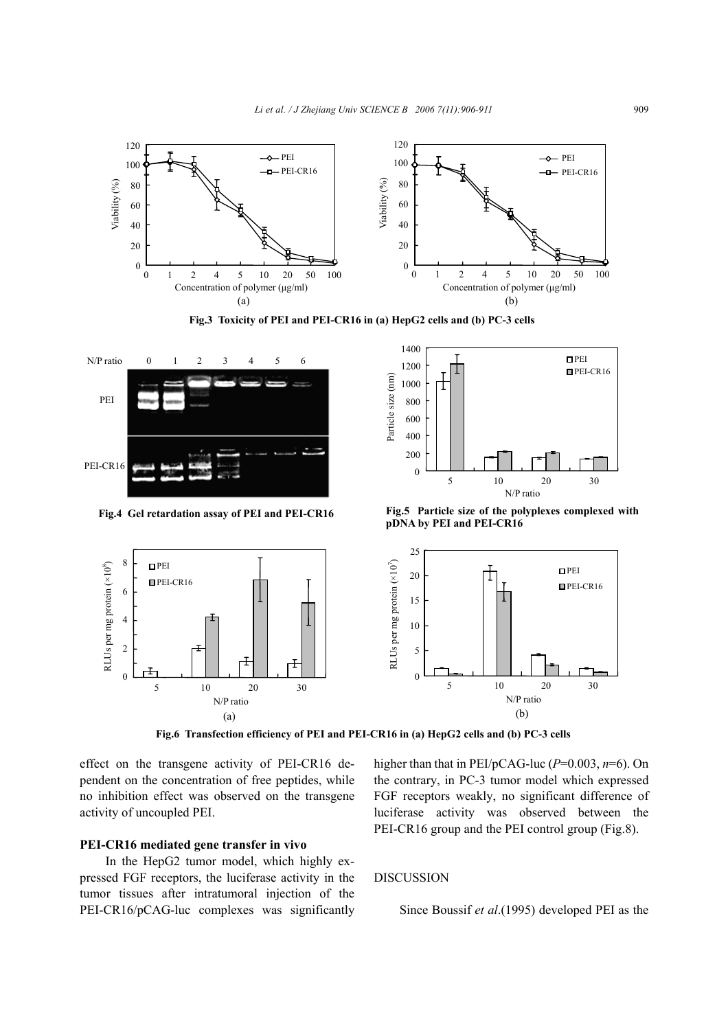

**Fig.3 Toxicity of PEI and PEI-CR16 in (a) HepG2 cells and (b) PC-3 cells** 



**Fig.4 Gel retardation assay of PEI and PEI-CR16**



**Fig.5 Particle size of the polyplexes complexed with pDNA by PEI and PEI-CR16**



**Fig.6 Transfection efficiency of PEI and PEI-CR16 in (a) HepG2 cells and (b) PC-3 cells**

effect on the transgene activity of PEI-CR16 dependent on the concentration of free peptides, while no inhibition effect was observed on the transgene activity of uncoupled PEI.

# **PEI-CR16 mediated gene transfer in vivo**

In the HepG2 tumor model, which highly expressed FGF receptors, the luciferase activity in the tumor tissues after intratumoral injection of the PEI-CR16/pCAG-luc complexes was significantly higher than that in PEI/pCAG-luc (*P*=0.003, *n*=6). On the contrary, in PC-3 tumor model which expressed FGF receptors weakly, no significant difference of luciferase activity was observed between the PEI-CR16 group and the PEI control group (Fig.8).

# DISCUSSION

Since Boussif *et al*.(1995) developed PEI as the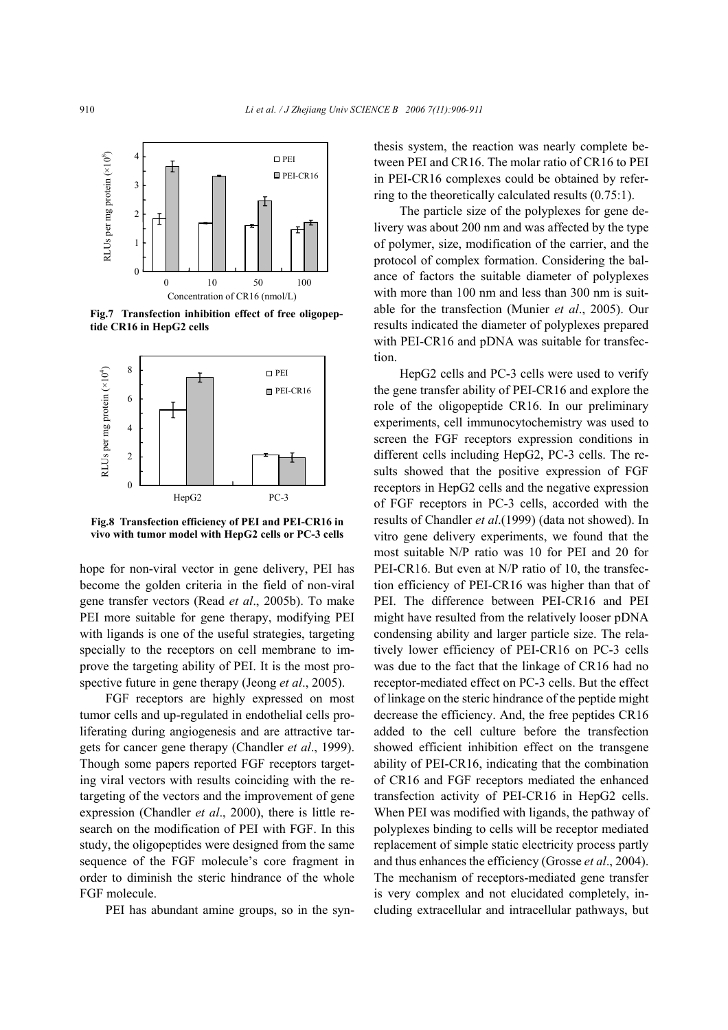

**Fig.7 Transfection inhibition effect of free oligopeptide CR16 in HepG2 cells**



**Fig.8 Transfection efficiency of PEI and PEI-CR16 in vivo with tumor model with HepG2 cells or PC-3 cells**

hope for non-viral vector in gene delivery, PEI has become the golden criteria in the field of non-viral gene transfer vectors (Read *et al*., 2005b). To make PEI more suitable for gene therapy, modifying PEI with ligands is one of the useful strategies, targeting specially to the receptors on cell membrane to improve the targeting ability of PEI. It is the most prospective future in gene therapy (Jeong *et al*., 2005).

FGF receptors are highly expressed on most tumor cells and up-regulated in endothelial cells proliferating during angiogenesis and are attractive targets for cancer gene therapy (Chandler *et al*., 1999). Though some papers reported FGF receptors targeting viral vectors with results coinciding with the retargeting of the vectors and the improvement of gene expression (Chandler *et al*., 2000), there is little research on the modification of PEI with FGF. In this study, the oligopeptides were designed from the same sequence of the FGF molecule's core fragment in order to diminish the steric hindrance of the whole FGF molecule.

PEI has abundant amine groups, so in the syn-

thesis system, the reaction was nearly complete between PEI and CR16. The molar ratio of CR16 to PEI in PEI-CR16 complexes could be obtained by referring to the theoretically calculated results (0.75:1).

The particle size of the polyplexes for gene delivery was about 200 nm and was affected by the type of polymer, size, modification of the carrier, and the protocol of complex formation. Considering the balance of factors the suitable diameter of polyplexes with more than 100 nm and less than 300 nm is suitable for the transfection (Munier *et al*., 2005). Our results indicated the diameter of polyplexes prepared with PEI-CR16 and pDNA was suitable for transfection.

HepG2 cells and PC-3 cells were used to verify the gene transfer ability of PEI-CR16 and explore the role of the oligopeptide CR16. In our preliminary experiments, cell immunocytochemistry was used to screen the FGF receptors expression conditions in different cells including HepG2, PC-3 cells. The results showed that the positive expression of FGF receptors in HepG2 cells and the negative expression of FGF receptors in PC-3 cells, accorded with the results of Chandler *et al*.(1999) (data not showed). In vitro gene delivery experiments, we found that the most suitable N/P ratio was 10 for PEI and 20 for PEI-CR16. But even at N/P ratio of 10, the transfection efficiency of PEI-CR16 was higher than that of PEI. The difference between PEI-CR16 and PEI might have resulted from the relatively looser pDNA condensing ability and larger particle size. The relatively lower efficiency of PEI-CR16 on PC-3 cells was due to the fact that the linkage of CR16 had no receptor-mediated effect on PC-3 cells. But the effect of linkage on the steric hindrance of the peptide might decrease the efficiency. And, the free peptides CR16 added to the cell culture before the transfection showed efficient inhibition effect on the transgene ability of PEI-CR16, indicating that the combination of CR16 and FGF receptors mediated the enhanced transfection activity of PEI-CR16 in HepG2 cells. When PEI was modified with ligands, the pathway of polyplexes binding to cells will be receptor mediated replacement of simple static electricity process partly and thus enhances the efficiency (Grosse *et al*., 2004). The mechanism of receptors-mediated gene transfer is very complex and not elucidated completely, including extracellular and intracellular pathways, but